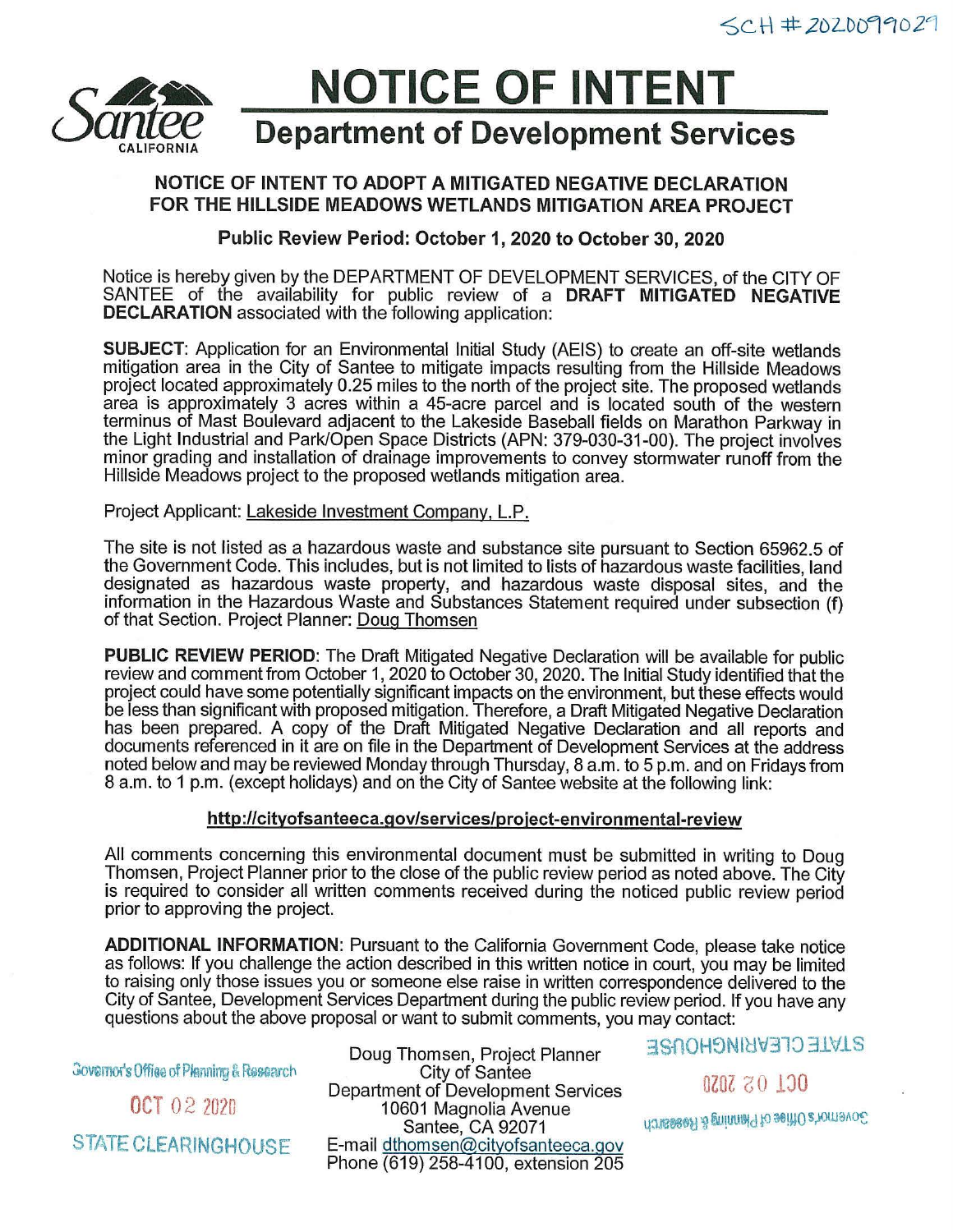

# **NOTICE OF INTENT**

# **Department of Development Services**

## **NOTICE OF INTENT TO ADOPT A MITIGATED NEGATIVE DECLARATION FOR THE HILLSIDE MEADOWS WETLANDS MITIGATION AREA PROJECT**

**Public Review Period: October** 1, **2020 to October 30, 2020** 

Notice is hereby given by the DEPARTMENT OF DEVELOPMENT SERVICES, of the CITY OF SANTEE of the availability for public review of a **DRAFT MITIGATED NEGATIVE DECLARATION** associated with the following application:

**SUBJECT:** Application for an Environmental Initial Study (AEIS) to create an off-site wetlands mitigation area in the City of Santee to mitigate impacts resulting from the Hillside Meadows project located approximately 0.25 miles to the north of the project site. The proposed wetlands area is approximately 3 acres within a 45-acre parcel and is located south of the western terminus of Mast Boulevard adjacent to the Lakeside Baseball fields on Marathon Parkway in the Light Industrial and Park/Open Space Districts (APN: 379-030-31-00). The project involves minor grading and installation of drainage improvements to convey stormwater runoff from the Hillside Meadows project to the proposed wetlands mitigation area.

#### Project Applicant: Lakeside Investment Company, L.P.

The site is not listed as a hazardous waste and substance site pursuant to Section 65962.5 of the Government Code. This includes, but is not limited to lists of hazardous waste facilities, land designated as hazardous waste property, and hazardous waste disposal sites, and the information in the Hazardous Waste and Substances Statement required under subsection (f) of that Section. Project Planner: Doug Thomsen

**PUBLIC REVIEW PERIOD:** The Draft Mitigated Negative Declaration will be available for public review and comment from October 1, 2020 to October 30, 2020. The Initial Study identified that the project could have some potentially significant impacts on the environment, but these effects would be less than significant with proposed mitigation. Therefore, a Draft Mitigated Negative Declaration has been prepared. A copy of the Draft Mitigated Negative Declaration and all reports and documents referenced in it are on file in the Department of Development Services at the address noted below and may be reviewed Monday through Thursday, 8 a.m. to 5 p.m. and on Fridays from 8 a.m. to 1 p.m. (except holidays) and on the City of Santee website at the following link:

#### **http://cityofsanteeca.gov/services/project-environmental-review**

All comments concerning this environmental document must be submitted in writing to Doug Thomsen, Project Planner prior to the close of the public review period as noted above. The City is required to consider all written comments received during the noticed public review period prior to approving the project.

**ADDITIONAL INFORMATION:** Pursuant to the California Government Code, please take notice as follows: If you challenge the action described in this written notice in court, you may be limited to raising only those issues you or someone else raise in written correspondence delivered to the City of Santee, Development Services Department during the public review period. If you have any questions about the above proposal or want to submit comments, you may contact:

Governor's Offise of Planning & Research

OCT 02 2020

STATE CLEARINGHOUSE

Doug Thomsen, Project Planner City of Santee Department of Development Services 10601 Magnolia Avenue Santee, CA 92071 E-mail dthomsen@cityofsanteeca.gov Phone (619) 258-4100, extension 205 3Sf\OH5Nlc1'v378 31V.LS

0Z0Z 30 130

Governor's Office of Plenning & Research